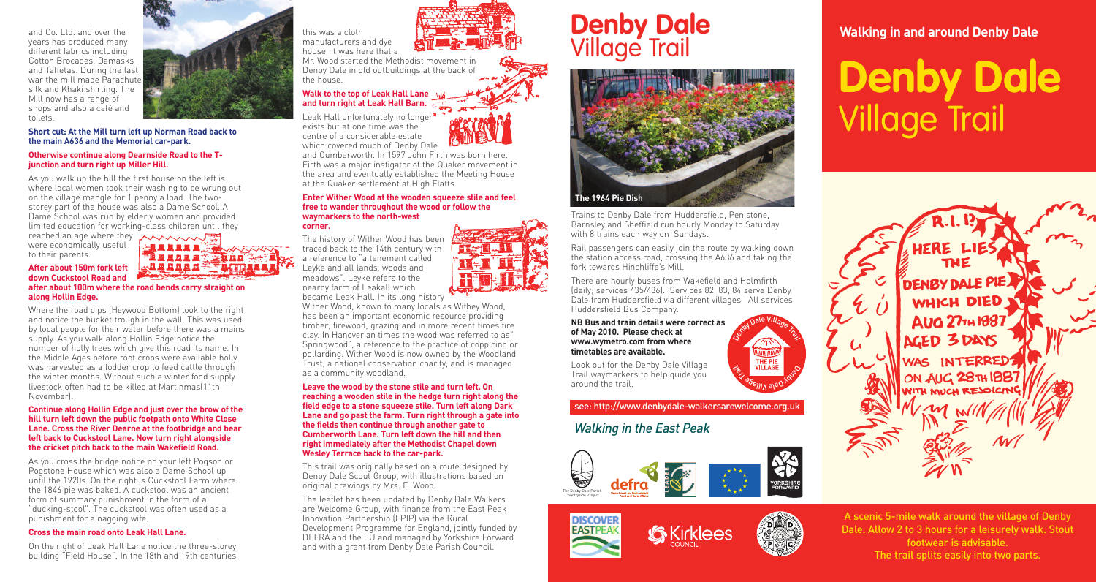and Co. Ltd. and over the years has produced many different fabrics including Cotton Brocades, Damasks and Taffetas. During the last war the mill made Parachute silk and Khaki shirting. The Mill now has a range of shops and also a café and toilets.

**Short cut: At the Mill turn left up Norman Road back to the main A636 and the Memorial car-park.**

### **Otherwise continue along Dearnside Road to the Tjunction and turn right up Miller Hill.**

As you walk up the hill the first house on the left is where local women took their washing to be wrung out on the village mangle for 1 penny a load. The twostorey part of the house was also a Dame School. A Dame School was run by elderly women and provided limited education for working-class children until they

were economically useful to their parents.

### **After about 150m fork left down Cuckstool Road and after about 100m where the road bends carry straight on along Hollin Edge.**

Where the road dips (Heywood Bottom) look to the right and notice the bucket trough in the wall. This was used by local people for their water before there was a mains supply. As you walk along Hollin Edge notice the number of holly trees which give this road its name. In the Middle Ages before root crops were available holly was harvested as a fodder crop to feed cattle through the winter months. Without such a winter food supply livestock often had to be killed at Martinmas(11th November).

### **Continue along Hollin Edge and just over the brow of the hill turn left down the public footpath onto White Close Lane. Cross the River Dearne at the footbridge and bear left back to Cuckstool Lane. Now turn right alongside the cricket pitch back to the main Wakefield Road.**

As you cross the bridge notice on your left Pogson or Pogstone House which was also a Dame School up until the 1920s. On the right is Cuckstool Farm where the 1846 pie was baked. A cuckstool was an ancient form of summary punishment in the form of a "ducking-stool". The cuckstool was often used as a punishment for a nagging wife.

### **Cross the main road onto Leak Hall Lane.**

On the right of Leak Hall Lane notice the three-storey building "Field House". In the 18th and 19th centuries

the house.

house. It was here that a Mr. Wood started the Methodist movement in Denby Dale in old outbuildings at the back of

### **Walk to the top of Leak Hall Lane and turn right at Leak Hall Barn.**

Leak Hall unfortunately no longer<sup>3</sup> exists but at one time was the centre of a considerable estate which covered much of Denby Dale

and Cumberworth. In 1597 John Firth was born here. Firth was a major instigator of the Quaker movement in the area and eventually established the Meeting House at the Quaker settlement at High Flatts.

#### **Enter Wither Wood at the wooden squeeze stile and feel free to wander throughout the wood or follow the waymarkers to the north-west corner.**

The history of Wither Wood has been traced back to the 14th century with a reference to "a tenement called Leyke and all lands, woods and meadows". Leyke refers to the nearby farm of Leakall which became Leak Hall. In its long history

Wither Wood, known to many locals as Withey Wood, has been an important economic resource providing timber, firewood, grazing and in more recent times fire clay. In Hanoverian times the wood was referred to as" Springwood", a reference to the practice of coppicing or pollarding. Wither Wood is now owned by the Woodland Trust, a national conservation charity, and is managed as a community woodland.

**Leave the wood by the stone stile and turn left. On reaching a wooden stile in the hedge turn right along the field edge to a stone squeeze stile. Turn left along Dark Lane and go past the farm. Turn right through a gate into the fields then continue through another gate to Cumberworth Lane. Turn left down the hill and then right immediately after the Methodist Chapel down Wesley Terrace back to the car-park.**

This trail was originally based on a route designed by Denby Dale Scout Group, with illustrations based on original drawings by Mrs. E. Wood.

The leaflet has been updated by Denby Dale Walkers are Welcome Group, with finance from the East Peak Innovation Partnership (EPIP) via the Rural Development Programme for England, jointly funded by DEFRA and the EU and managed by Yorkshire Forward and with a grant from Denby Dale Parish Council.

# **this was a cloth and dye** Village Trail



Trains to Denby Dale from Huddersfield, Penistone, Barnsley and Sheffield run hourly Monday to Saturday with 8 trains each way on Sundays.

Rail passengers can easily join the route by walking down the station access road, crossing the A636 and taking the fork towards Hinchliffe's Mill.

Dus, there are several foutes that pass through Den<br>Dela Holmfirth also component beforehously in Dale. It is best to plan your jourey beforehand via<br>Nati Metro website, or follow the link from our website. Bus, there are several routes that pass through Denby

### **NB Bus and train details were correct as of May 2010. Please check at www.wymetro.com from where timetables are available.**

Look out for the Denby Dale Village Trail waymarkers to help guide you around the trail.

see: http://www.denbydale-walkersarewelcome.org.uk

## *Walking in the East Peak*







**PED KNS**O

*ן βיפּ Villa* 

ostol Dale Village Trail

**Francisco** 



# **Denby Dale** Village Trail



A scenic 5-mile walk around the village of Denby Dale. Allow 2 to 3 hours for a leisurely walk. Stout footwear is advisable. The trail splits easily into two parts.



医耳耳耳耳耳氏耳 **STARKER**